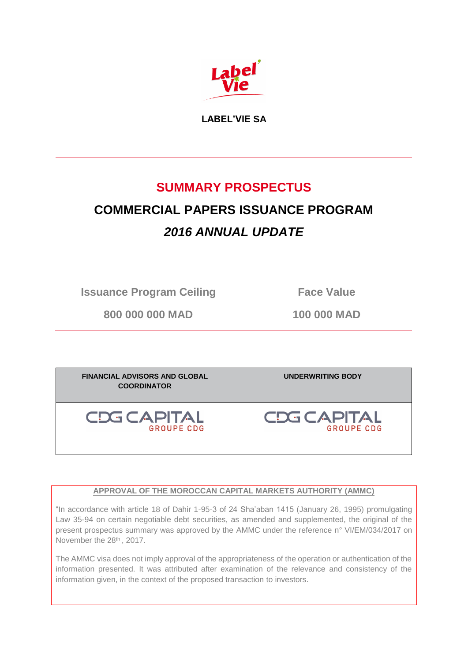

**LABEL'VIE SA**

# **SUMMARY PROSPECTUS**

# **COMMERCIAL PAPERS ISSUANCE PROGRAM** *2016 ANNUAL UPDATE*

**Issuance Program Ceiling Face Value** 

**800 000 000 MAD 100 000 MAD**

| <b>FINANCIAL ADVISORS AND GLOBAL</b><br><b>COORDINATOR</b> | UNDERWRITING BODY |
|------------------------------------------------------------|-------------------|
| CDG CAPITAL                                                | CDG CAPITAL       |
| <b>GROUPE CDG</b>                                          | <b>GROUPE CDG</b> |

## **APPROVAL OF THE MOROCCAN CAPITAL MARKETS AUTHORITY (AMMC)**

"In accordance with article 18 of Dahir 1-95-3 of 24 Sha'aban 1415 (January 26, 1995) promulgating Law 35-94 on certain negotiable debt securities, as amended and supplemented, the original of the present prospectus summary was approved by the AMMC under the reference n° VI/EM/034/2017 on November the 28<sup>th</sup>, 2017.

The AMMC visa does not imply approval of the appropriateness of the operation or authentication of the information presented. It was attributed after examination of the relevance and consistency of the information given, in the context of the proposed transaction to investors.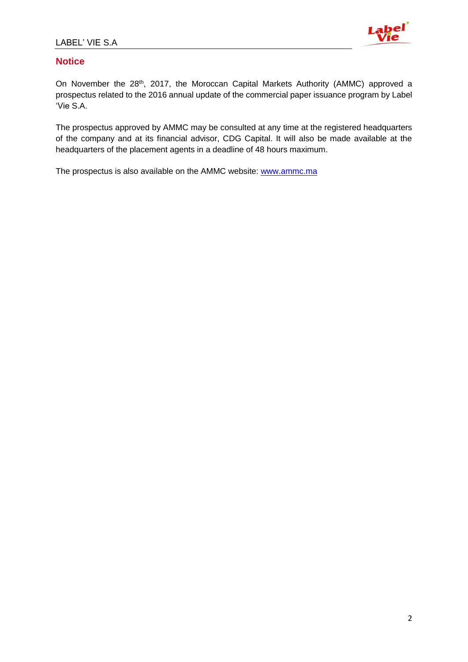

## **Notice**

On November the 28<sup>th</sup>, 2017, the Moroccan Capital Markets Authority (AMMC) approved a prospectus related to the 2016 annual update of the commercial paper issuance program by Label 'Vie S.A.

The prospectus approved by AMMC may be consulted at any time at the registered headquarters of the company and at its financial advisor, CDG Capital. It will also be made available at the headquarters of the placement agents in a deadline of 48 hours maximum.

The prospectus is also available on the AMMC website: [www.ammc.ma](http://www.ammc.ma/)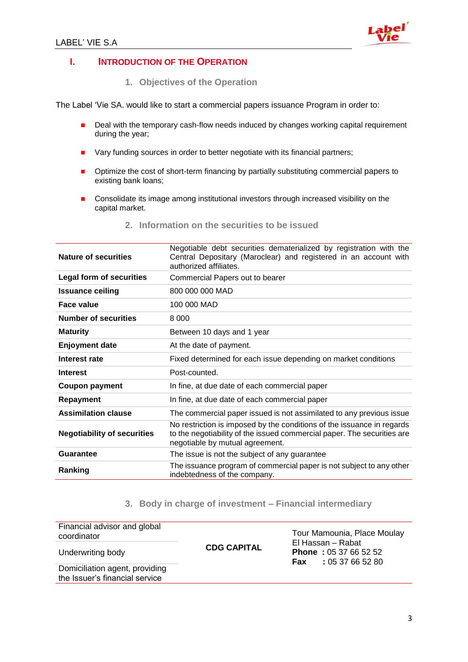

#### **I. INTRODUCTION OF THE OPERATION**

**1. Objectives of the Operation** 

The Label 'Vie SA. would like to start a commercial papers issuance Program in order to:

- Deal with the temporary cash-flow needs induced by changes working capital requirement during the year;
- Vary funding sources in order to better negotiate with its financial partners;
- **•** Optimize the cost of short-term financing by partially substituting commercial papers to existing bank loans;
- Consolidate its image among institutional investors through increased visibility on the capital market.

| <b>Nature of securities</b>        | Negotiable debt securities dematerialized by registration with the<br>Central Depositary (Maroclear) and registered in an account with<br>authorized affiliates.                     |
|------------------------------------|--------------------------------------------------------------------------------------------------------------------------------------------------------------------------------------|
| <b>Legal form of securities</b>    | Commercial Papers out to bearer                                                                                                                                                      |
| <b>Issuance ceiling</b>            | 800 000 000 MAD                                                                                                                                                                      |
| Face value                         | 100 000 MAD                                                                                                                                                                          |
| <b>Number of securities</b>        | 8 0 0 0                                                                                                                                                                              |
| <b>Maturity</b>                    | Between 10 days and 1 year                                                                                                                                                           |
| <b>Enjoyment date</b>              | At the date of payment.                                                                                                                                                              |
| Interest rate                      | Fixed determined for each issue depending on market conditions                                                                                                                       |
| <b>Interest</b>                    | Post-counted.                                                                                                                                                                        |
| <b>Coupon payment</b>              | In fine, at due date of each commercial paper                                                                                                                                        |
| <b>Repayment</b>                   | In fine, at due date of each commercial paper                                                                                                                                        |
| <b>Assimilation clause</b>         | The commercial paper issued is not assimilated to any previous issue                                                                                                                 |
| <b>Negotiability of securities</b> | No restriction is imposed by the conditions of the issuance in regards<br>to the negotiability of the issued commercial paper. The securities are<br>negotiable by mutual agreement. |
| <b>Guarantee</b>                   | The issue is not the subject of any guarantee                                                                                                                                        |
| Ranking                            | The issuance program of commercial paper is not subject to any other<br>indebtedness of the company.                                                                                 |

**2. Information on the securities to be issued**

## **3. Body in charge of investment – Financial intermediary**

| Financial advisor and global<br>coordinator                      |                    | Tour Mamounia, Place Moulay<br>El Hassan - Rabat   |  |  |  |  |
|------------------------------------------------------------------|--------------------|----------------------------------------------------|--|--|--|--|
| Underwriting body                                                | <b>CDG CAPITAL</b> | <b>Phone: 05 37 66 52 52</b><br>:0537665280<br>Fax |  |  |  |  |
| Domiciliation agent, providing<br>the Issuer's financial service |                    |                                                    |  |  |  |  |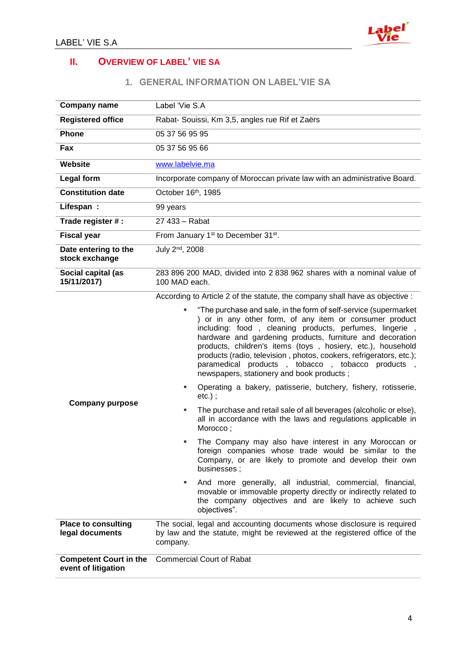

# **II. OVERVIEW OF LABEL' VIE SA**

#### **1. GENERAL INFORMATION ON LABEL'VIE SA**

| <b>Company name</b>                                  | Label 'Vie S.A                                                                                                                                                                                                                                                                                                                                                                                                                                                                                                                                                                                                                                                                                                                                                                                                                                                                                                                                                                                                                                                                                                                                                                                                               |  |  |  |  |  |
|------------------------------------------------------|------------------------------------------------------------------------------------------------------------------------------------------------------------------------------------------------------------------------------------------------------------------------------------------------------------------------------------------------------------------------------------------------------------------------------------------------------------------------------------------------------------------------------------------------------------------------------------------------------------------------------------------------------------------------------------------------------------------------------------------------------------------------------------------------------------------------------------------------------------------------------------------------------------------------------------------------------------------------------------------------------------------------------------------------------------------------------------------------------------------------------------------------------------------------------------------------------------------------------|--|--|--|--|--|
| <b>Registered office</b>                             | Rabat- Souissi, Km 3,5, angles rue Rif et Zaërs                                                                                                                                                                                                                                                                                                                                                                                                                                                                                                                                                                                                                                                                                                                                                                                                                                                                                                                                                                                                                                                                                                                                                                              |  |  |  |  |  |
| <b>Phone</b>                                         | 05 37 56 95 95                                                                                                                                                                                                                                                                                                                                                                                                                                                                                                                                                                                                                                                                                                                                                                                                                                                                                                                                                                                                                                                                                                                                                                                                               |  |  |  |  |  |
| Fax                                                  | 05 37 56 95 66                                                                                                                                                                                                                                                                                                                                                                                                                                                                                                                                                                                                                                                                                                                                                                                                                                                                                                                                                                                                                                                                                                                                                                                                               |  |  |  |  |  |
| Website                                              | www.labelvie.ma                                                                                                                                                                                                                                                                                                                                                                                                                                                                                                                                                                                                                                                                                                                                                                                                                                                                                                                                                                                                                                                                                                                                                                                                              |  |  |  |  |  |
| <b>Legal form</b>                                    | Incorporate company of Moroccan private law with an administrative Board.                                                                                                                                                                                                                                                                                                                                                                                                                                                                                                                                                                                                                                                                                                                                                                                                                                                                                                                                                                                                                                                                                                                                                    |  |  |  |  |  |
| <b>Constitution date</b>                             | October 16th, 1985                                                                                                                                                                                                                                                                                                                                                                                                                                                                                                                                                                                                                                                                                                                                                                                                                                                                                                                                                                                                                                                                                                                                                                                                           |  |  |  |  |  |
| Lifespan:                                            | 99 years                                                                                                                                                                                                                                                                                                                                                                                                                                                                                                                                                                                                                                                                                                                                                                                                                                                                                                                                                                                                                                                                                                                                                                                                                     |  |  |  |  |  |
| Trade register # :                                   | 27 433 - Rabat                                                                                                                                                                                                                                                                                                                                                                                                                                                                                                                                                                                                                                                                                                                                                                                                                                                                                                                                                                                                                                                                                                                                                                                                               |  |  |  |  |  |
| <b>Fiscal year</b>                                   | From January 1 <sup>st</sup> to December 31 <sup>st</sup> .                                                                                                                                                                                                                                                                                                                                                                                                                                                                                                                                                                                                                                                                                                                                                                                                                                                                                                                                                                                                                                                                                                                                                                  |  |  |  |  |  |
| Date entering to the<br>stock exchange               | July 2 <sup>nd</sup> , 2008                                                                                                                                                                                                                                                                                                                                                                                                                                                                                                                                                                                                                                                                                                                                                                                                                                                                                                                                                                                                                                                                                                                                                                                                  |  |  |  |  |  |
| Social capital (as<br>15/11/2017)                    | 283 896 200 MAD, divided into 2 838 962 shares with a nominal value of<br>100 MAD each.                                                                                                                                                                                                                                                                                                                                                                                                                                                                                                                                                                                                                                                                                                                                                                                                                                                                                                                                                                                                                                                                                                                                      |  |  |  |  |  |
| <b>Company purpose</b>                               | According to Article 2 of the statute, the company shall have as objective :<br>"The purchase and sale, in the form of self-service (supermarket<br>) or in any other form, of any item or consumer product<br>including: food, cleaning products, perfumes, lingerie,<br>hardware and gardening products, furniture and decoration<br>products, children's items (toys, hosiery, etc.), household<br>products (radio, television, photos, cookers, refrigerators, etc.);<br>paramedical products, tobacco, tobacco products,<br>newspapers, stationery and book products;<br>Operating a bakery, patisserie, butchery, fishery, rotisserie,<br>$etc.)$ ;<br>The purchase and retail sale of all beverages (alcoholic or else),<br>٠<br>all in accordance with the laws and regulations applicable in<br>Morocco;<br>The Company may also have interest in any Moroccan or<br>foreign companies whose trade would be similar to the<br>Company, or are likely to promote and develop their own<br>businesses;<br>And more generally, all industrial, commercial, financial,<br>٠<br>movable or immovable property directly or indirectly related to<br>the company objectives and are likely to achieve such<br>objectives". |  |  |  |  |  |
| <b>Place to consulting</b><br>legal documents        | The social, legal and accounting documents whose disclosure is required<br>by law and the statute, might be reviewed at the registered office of the<br>company.                                                                                                                                                                                                                                                                                                                                                                                                                                                                                                                                                                                                                                                                                                                                                                                                                                                                                                                                                                                                                                                             |  |  |  |  |  |
| <b>Competent Court in the</b><br>event of litigation | <b>Commercial Court of Rabat</b>                                                                                                                                                                                                                                                                                                                                                                                                                                                                                                                                                                                                                                                                                                                                                                                                                                                                                                                                                                                                                                                                                                                                                                                             |  |  |  |  |  |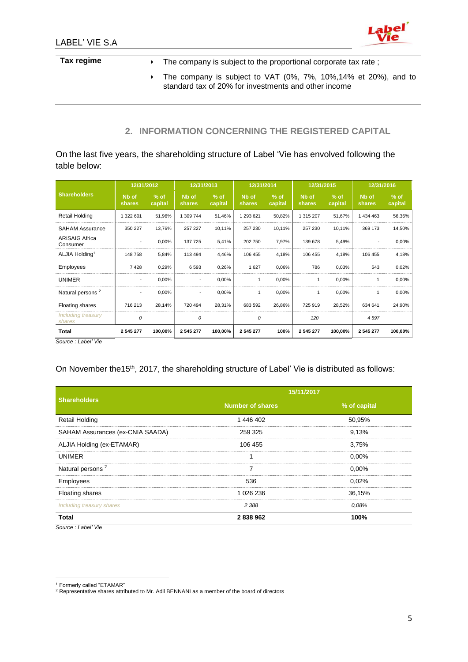

# Tax regime **Tax regime** The company is subject to the proportional corporate tax rate; The company is subject to VAT (0%, 7%, 10%,14% et 20%), and to standard tax of 20% for investments and other income

### **2. INFORMATION CONCERNING THE REGISTERED CAPITAL**

On the last five years, the shareholding structure of Label 'Vie has envolved following the table below:

|                                   | 12/31/2012                  |                   | 12/31/2013                  |                   | 12/31/2014                  |                   | 12/31/2015                  |                   | 12/31/2016                  |                   |
|-----------------------------------|-----------------------------|-------------------|-----------------------------|-------------------|-----------------------------|-------------------|-----------------------------|-------------------|-----------------------------|-------------------|
| <b>Shareholders</b>               | N <sub>b</sub> of<br>shares | $%$ of<br>capital | N <sub>b</sub> of<br>shares | $%$ of<br>capital | N <sub>b</sub> of<br>shares | $%$ of<br>capital | N <sub>b</sub> of<br>shares | $%$ of<br>capital | N <sub>b</sub> of<br>shares | $%$ of<br>capital |
| Retail Holding                    | 1 322 601                   | 51,96%            | 1 309 744                   | 51,46%            | 1 293 621                   | 50,82%            | 1 315 207                   | 51,67%            | 1 434 463                   | 56,36%            |
| <b>SAHAM Assurance</b>            | 350 227                     | 13,76%            | 257 227                     | 10,11%            | 257 230                     | 10,11%            | 257 230                     | 10,11%            | 369 173                     | 14,50%            |
| <b>ARISAIG Africa</b><br>Consumer | ٠                           | 0,00%             | 137 725                     | 5,41%             | 202 750                     | 7,97%             | 139 678                     | 5,49%             |                             | 0,00%             |
| ALJIA Holding <sup>1</sup>        | 148758                      | 5,84%             | 113 494                     | 4,46%             | 106 455                     | 4,18%             | 106 455                     | 4,18%             | 106 455                     | 4,18%             |
| Employees                         | 7428                        | 0,29%             | 6593                        | 0,26%             | 1627                        | 0,06%             | 786                         | 0,03%             | 543                         | 0,02%             |
| <b>UNIMER</b>                     | $\overline{\phantom{a}}$    | 0,00%             | $\overline{\phantom{a}}$    | 0,00%             | 1                           | 0,00%             |                             | 0,00%             |                             | 0,00%             |
| Natural persons <sup>2</sup>      | $\overline{\phantom{a}}$    | 0,00%             | $\overline{\phantom{a}}$    | 0,00%             | 1                           | 0,00%             |                             | 0,00%             |                             | 0,00%             |
| Floating shares                   | 716 213                     | 28,14%            | 720 494                     | 28,31%            | 683 592                     | 26,86%            | 725 919                     | 28,52%            | 634 641                     | 24,90%            |
| Including treasury<br>shares      | 0                           |                   | 0                           |                   | 0                           |                   | 120                         |                   | 4597                        |                   |
| Total                             | 2 545 277                   | 100,00%           | 2 545 277                   | 100,00%           | 2 545 277                   | 100%              | 2 545 277                   | 100,00%           | 2 545 277                   | 100,00%           |

*Source : Label' Vie*

On November the15<sup>th</sup>, 2017, the shareholding structure of Label' Vie is distributed as follows:

|                                  | 15/11/2017              |              |  |  |  |  |
|----------------------------------|-------------------------|--------------|--|--|--|--|
| <b>Shareholders</b>              | <b>Number of shares</b> | % of capital |  |  |  |  |
| <b>Retail Holding</b>            | 1 446 402               | 50,95%       |  |  |  |  |
| SAHAM Assurances (ex-CNIA SAADA) | 259 325                 | 9.13%        |  |  |  |  |
| ALJIA Holding (ex-ETAMAR)        | 106 455                 | 3,75%        |  |  |  |  |
| <b>UNIMER</b>                    |                         | $0.00\%$     |  |  |  |  |
| Natural persons <sup>2</sup>     | 7                       | $0.00\%$     |  |  |  |  |
| Employees                        | 536                     | 0.02%        |  |  |  |  |
| <b>Floating shares</b>           | 1 026 236               | 36,15%       |  |  |  |  |
| Including treasury shares        | 2 3 8 8                 | 0.08%        |  |  |  |  |
| <b>Total</b>                     | 2838962                 | 100%         |  |  |  |  |

*Source : Label' Vie*

 $\overline{a}$ <sup>1</sup> Formerly called "ETAMAR"

<sup>&</sup>lt;sup>2</sup> Representative shares attributed to Mr. Adil BENNANI as a member of the board of directors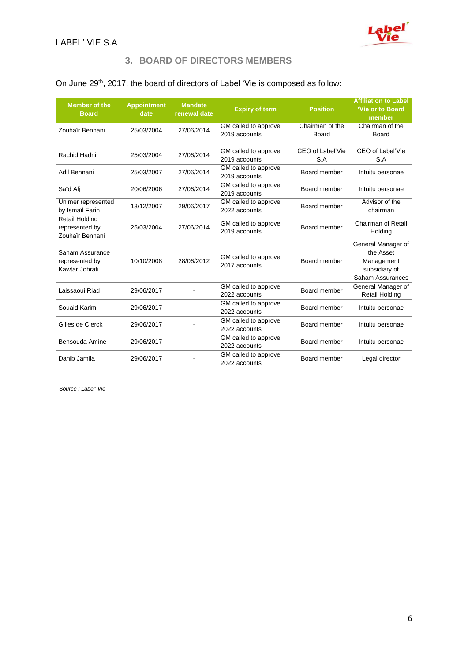

#### **3. BOARD OF DIRECTORS MEMBERS**

## On June 29<sup>th</sup>, 2017, the board of directors of Label 'Vie is composed as follow:

| <b>Member of the</b><br><b>Board</b>                       | <b>Appointment</b><br>date | <b>Mandate</b><br>renewal date | <b>Expiry of term</b>                 | <b>Position</b>          | <b>Affiliation to Label</b><br>'Vie or to Board<br>member                          |
|------------------------------------------------------------|----------------------------|--------------------------------|---------------------------------------|--------------------------|------------------------------------------------------------------------------------|
| Zouhaïr Bennani                                            | 25/03/2004                 | 27/06/2014                     | GM called to approve<br>2019 accounts | Chairman of the<br>Board | Chairman of the<br>Board                                                           |
| Rachid Hadni                                               | 25/03/2004                 | 27/06/2014                     | GM called to approve<br>2019 accounts | CEO of Label'Vie<br>S.A  | CEO of Label'Vie<br>S.A                                                            |
| Adil Bennani                                               | 25/03/2007                 | 27/06/2014                     | GM called to approve<br>2019 accounts | Board member             | Intuitu personae                                                                   |
| Saïd Alj                                                   | 20/06/2006                 | 27/06/2014                     | GM called to approve<br>2019 accounts | Board member             | Intuitu personae                                                                   |
| Unimer represented<br>by Ismail Farih                      | 13/12/2007                 | 29/06/2017                     | GM called to approve<br>2022 accounts | Board member             | Advisor of the<br>chairman                                                         |
| <b>Retail Holding</b><br>represented by<br>Zouhaïr Bennani | 25/03/2004                 | 27/06/2014                     | GM called to approve<br>2019 accounts | Board member             | Chairman of Retail<br>Holding                                                      |
| Saham Assurance<br>represented by<br>Kawtar Johrati        | 10/10/2008                 | 28/06/2012                     | GM called to approve<br>2017 accounts | Board member             | General Manager of<br>the Asset<br>Management<br>subsidiary of<br>Saham Assurances |
| Laissaoui Riad                                             | 29/06/2017                 |                                | GM called to approve<br>2022 accounts | Board member             | General Manager of<br><b>Retail Holding</b>                                        |
| Souaid Karim                                               | 29/06/2017                 |                                | GM called to approve<br>2022 accounts | Board member             | Intuitu personae                                                                   |
| Gilles de Clerck                                           | 29/06/2017                 |                                | GM called to approve<br>2022 accounts | Board member             | Intuitu personae                                                                   |
| Bensouda Amine                                             | 29/06/2017                 |                                | GM called to approve<br>2022 accounts | Board member             | Intuitu personae                                                                   |
| Dahib Jamila                                               | 29/06/2017                 |                                | GM called to approve<br>2022 accounts | Board member             | Legal director                                                                     |

*Source : Label' Vie*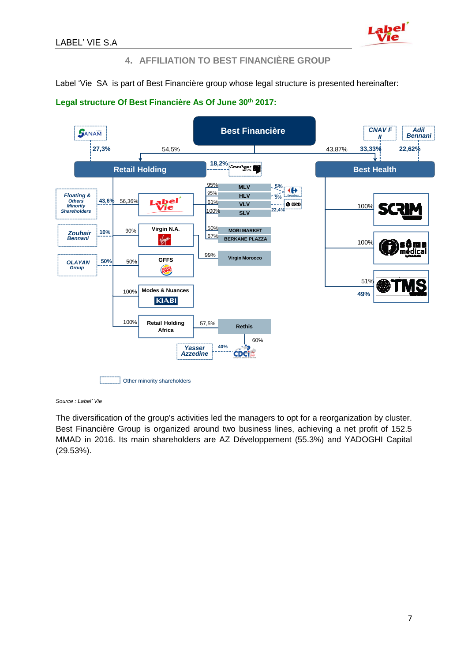

### **4. AFFILIATION TO BEST FINANCIÈRE GROUP**

Label 'Vie SA is part of Best Financière group whose legal structure is presented hereinafter:



#### **Legal structure Of Best Financière As Of June 30th 2017:**

*Source : Label' Vie*

The diversification of the group's activities led the managers to opt for a reorganization by cluster. Best Financière Group is organized around two business lines, achieving a net profit of 152.5 MMAD in 2016. Its main shareholders are AZ Développement (55.3%) and YADOGHI Capital (29.53%).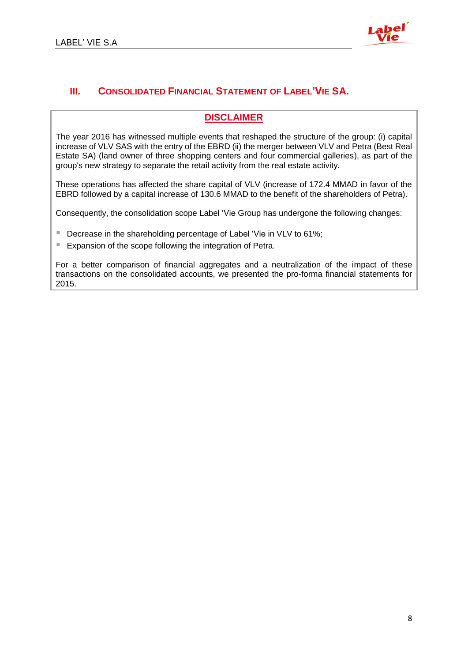

## **III. CONSOLIDATED FINANCIAL STATEMENT OF LABEL'VIE SA.**

## **DISCLAIMER**

The year 2016 has witnessed multiple events that reshaped the structure of the group: (i) capital increase of VLV SAS with the entry of the EBRD (ii) the merger between VLV and Petra (Best Real Estate SA) (land owner of three shopping centers and four commercial galleries), as part of the group's new strategy to separate the retail activity from the real estate activity.

These operations has affected the share capital of VLV (increase of 172.4 MMAD in favor of the EBRD followed by a capital increase of 130.6 MMAD to the benefit of the shareholders of Petra).

Consequently, the consolidation scope Label 'Vie Group has undergone the following changes:

- Decrease in the shareholding percentage of Label 'Vie in VLV to 61%;
- Expansion of the scope following the integration of Petra.

For a better comparison of financial aggregates and a neutralization of the impact of these transactions on the consolidated accounts, we presented the pro-forma financial statements for 2015.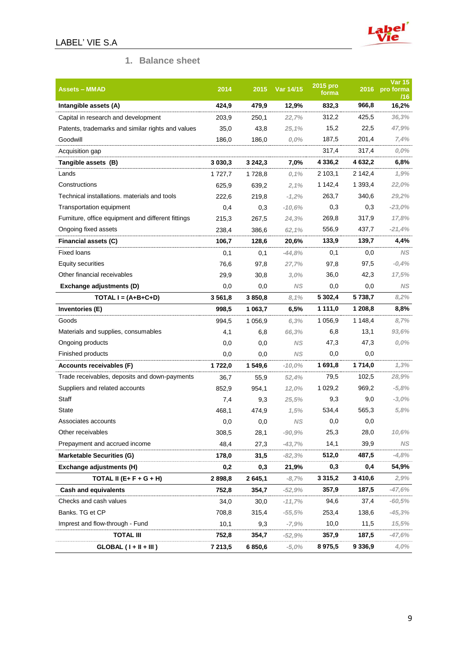



## **1. Balance sheet**

| <b>Assets – MMAD</b>                               | 2014        | 2015    | Var 14/15 | 2015 pro<br>forma |             | <b>Var 15</b><br>2016 pro forma<br>/16 |
|----------------------------------------------------|-------------|---------|-----------|-------------------|-------------|----------------------------------------|
| Intangible assets (A)                              | 424,9       | 479,9   | 12,9%     | 832,3             | 966,8       | 16,2%                                  |
| Capital in research and development                | 203,9       | 250,1   | 22,7%     | 312,2             | 425,5       | 36,3%                                  |
| Patents, trademarks and similar rights and values  | 35,0        | 43,8    | 25,1%     | 15,2              | 22,5        | 47,9%                                  |
| Goodwill                                           | 186,0       | 186,0   | $0,0\%$   | 187,5             | 201,4       | 7,4%                                   |
| Acquisition gap                                    |             |         |           | 317,4             | 317,4       | $0,0\%$                                |
| Tangible assets (B)                                | 3 0 3 0 , 3 | 3 242,3 | 7,0%      | 4 336,2           | 4 632,2     | 6,8%                                   |
| Lands                                              | 1 727,7     | 1728,8  | 0,1%      | 2 103,1           | 2 142,4     | 1,9%                                   |
| Constructions                                      | 625,9       | 639,2   | 2,1%      | 1 142,4           | 1 393,4     | 22,0%                                  |
| Technical installations. materials and tools       | 222,6       | 219,8   | $-1,2%$   | 263,7             | 340,6       | 29,2%                                  |
| Transportation equipment                           | 0,4         | 0,3     | $-10,6%$  | 0,3               | 0,3         | $-23,0%$                               |
| Furniture, office equipment and different fittings | 215,3       | 267,5   | 24,3%     | 269,8             | 317,9       | 17,8%                                  |
| Ongoing fixed assets                               | 238,4       | 386,6   | 62,1%     | 556,9             | 437,7       | $-21,4%$                               |
| Financial assets (C)                               | 106,7       | 128,6   | 20,6%     | 133,9             | 139,7       | 4,4%                                   |
| <b>Fixed loans</b>                                 | 0,1         | 0,1     | $-44,8%$  | 0,1               | 0,0         | ΝS                                     |
| Equity securities                                  | 76,6        | 97,8    | 27,7%     | 97,8              | 97,5        | $-0,4%$                                |
| Other financial receivables                        | 29,9        | 30,8    | 3,0%      | 36,0              | 42,3        | 17,5%                                  |
| Exchange adjustments (D)                           | $_{0,0}$    | 0,0     | ΝS        | 0,0               | 0,0         | ΝS                                     |
| TOTAL $I = (A+B+C+D)$                              | 3 5 6 1 , 8 | 3 850,8 | 8,1%      | 5 302,4           | 5 738,7     | 8,2%                                   |
| Inventories (E)                                    | 998,5       | 1 063,7 | 6,5%      | 1 111,0           | 1 208,8     | 8,8%                                   |
| Goods                                              | 994,5       | 1 056,9 | 6,3%      | 1 0 5 6, 9        | 1 148,4     | 8,7%                                   |
| Materials and supplies, consumables                | 4,1         | 6,8     | 66,3%     | 6,8               | 13,1        | 93,6%                                  |
| Ongoing products                                   | 0,0         | 0,0     | <b>NS</b> | 47,3              | 47,3        | $0,0\%$                                |
| Finished products                                  | 0,0         | 0,0     | <b>NS</b> | 0,0               | 0,0         |                                        |
| Accounts receivables (F)                           | 1722,0      | 1 549,6 | $-10,0%$  | 1 691,8           | 1714,0      | 1,3%                                   |
| Trade receivables, deposits and down-payments      | 36,7        | 55,9    | 52,4%     | 79,5              | 102,5       | 28,9%                                  |
| Suppliers and related accounts                     | 852,9       | 954,1   | 12,0%     | 1 0 29, 2         | 969,2       | $-5,8%$                                |
| Staff                                              | 7,4         | 9,3     | 25,5%     | 9,3               | 9,0         | $-3,0%$                                |
| State                                              | 468,1       | 474,9   | 1,5%      | 534,4             | 565,3       | 5,8%                                   |
| Associates accounts                                | 0,0         | 0,0     | <b>NS</b> | $_{0,0}$          | 0,0         |                                        |
| Other receivables                                  | 308,5       | 28,1    | $-90,9%$  | 25,3              | 28,0        | 10,6%                                  |
| Prepayment and accrued income                      | 48,4        | 27,3    | $-43,7%$  | 14,1              | 39,9        | <b>NS</b>                              |
| <b>Marketable Securities (G)</b>                   | 178,0       | 31,5    | $-82,3%$  | 512,0             | 487,5       | $-4,8%$                                |
| Exchange adjustments (H)                           | 0,2         | 0,3     | 21,9%     | 0,3               | 0,4         | 54,9%                                  |
| TOTAL II (E+ F + G + H)                            | 2898,8      | 2 645,1 | $-8,7%$   | 3 3 1 5 , 2       | 3410,6      | 2,9%                                   |
| <b>Cash and equivalents</b>                        | 752,8       | 354,7   | $-52,9%$  | 357,9             | 187,5       | $-47,6%$                               |
| Checks and cash values                             | 34,0        | 30,0    | $-11,7%$  | 94,6              | 37,4        | $-60,5%$                               |
| Banks. TG et CP                                    | 708,8       | 315,4   | $-55,5%$  | 253,4             | 138,6       | $-45,3%$                               |
| Imprest and flow-through - Fund                    | 10,1        | 9,3     | $-7,9%$   | 10,0              | 11,5        | 15,5%                                  |
| <b>TOTAL III</b>                                   | 752,8       | 354,7   | $-52,9%$  | 357,9             | 187,5       | $-47,6%$                               |
| $GLOBAL (I + II + III)$                            | 7 213,5     | 6850,6  | $-5,0%$   | 8975,5            | 9 3 3 6 , 9 | 4,0%                                   |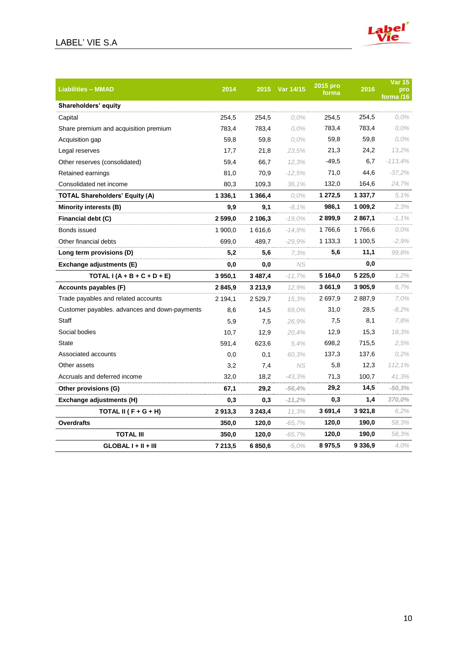## LABEL' VIE S.A



| <b>Liabilities - MMAD</b>                     | 2014      | 2015        | Var 14/15 | 2015 pro<br>forma | 2016        | <b>Var 15</b><br>pro<br>forma /16 |
|-----------------------------------------------|-----------|-------------|-----------|-------------------|-------------|-----------------------------------|
| Shareholders' equity                          |           |             |           |                   |             |                                   |
| Capital                                       | 254,5     | 254,5       | $0.0\%$   | 254,5             | 254,5       | $0.0\%$                           |
| Share premium and acquisition premium         | 783,4     | 783,4       | $0.0\%$   | 783,4             | 783,4       | $0,0\%$                           |
| Acquisition gap                               | 59,8      | 59,8        | $0.0\%$   | 59,8              | 59,8        | 0,0%                              |
| Legal reserves                                | 17,7      | 21,8        | 23,5%     | 21,3              | 24,2        | 13,2%                             |
| Other reserves (consolidated)                 | 59,4      | 66,7        | 12,3%     | -49,5             | 6,7         | $-113,4%$                         |
| Retained earnings                             | 81,0      | 70,9        | $-12.5%$  | 71,0              | 44,6        | $-37,2%$                          |
| Consolidated net income                       | 80,3      | 109,3       | 36,1%     | 132,0             | 164,6       | 24,7%                             |
| <b>TOTAL Shareholders' Equity (A)</b>         | 1 3 3 6 1 | 1 366,4     | $0.0\%$   | 1 272,5           | 1 3 3 7 , 7 | 5.1%                              |
| Minority interests (B)                        | 9,9       | 9,1         | $-8,1%$   | 986,1             | 1 009,2     | 2,3%                              |
| Financial debt (C)                            | 2 599,0   | 2 106,3     | $-19.0\%$ | 2899,9            | 2 867,1     | $-1.1\%$                          |
| Bonds issued                                  | 1 900,0   | 1 616,6     | $-14.9%$  | 1766,6            | 1766,6      | $0.0\%$                           |
| Other financial debts                         | 699,0     | 489,7       | $-29.9\%$ | 1 133,3           | 1 100,5     | $-2.9%$                           |
| Long term provisions (D)                      | 5,2       | 5,6         | 7,3%      | 5.6               | 11,1        | 99.8%                             |
| Exchange adjustments (E)                      | 0,0       | 0,0         | NS.       |                   | 0,0         |                                   |
| TOTAL $I(A + B + C + D + E)$                  | 3 950,1   | 3 4 8 7, 4  | $-11,7%$  | 5 1 64,0          | 5 2 2 5 , 0 | 1,2%                              |
| Accounts payables (F)                         | 2845,9    | 3 213,9     | 12,9%     | 3 661,9           | 3 905,9     | 6,7%                              |
| Trade payables and related accounts           | 2 194,1   | 2 5 2 9 , 7 | 15,3%     | 2 6 9 7, 9        | 2887,9      | 7.0%                              |
| Customer payables. advances and down-payments | 8,6       | 14,5        | 69.0%     | 31,0              | 28,5        | $-8.2%$                           |
| <b>Staff</b>                                  | 5,9       | 7,5         | 26,9%     | 7,5               | 8,1         | 7,8%                              |
| Social bodies                                 | 10,7      | 12,9        | 20,4%     | 12,9              | 15,3        | 18,3%                             |
| <b>State</b>                                  | 591,4     | 623,6       | 5.4%      | 698,2             | 715,5       | 2,5%                              |
| Associated accounts                           | 0,0       | 0,1         | 60.3%     | 137,3             | 137,6       | 0.2%                              |
| Other assets                                  | 3,2       | 7,4         | <b>NS</b> | 5,8               | 12,3        | 112,1%                            |
| Accruals and deferred income                  | 32,0      | 18,2        | $-43,3%$  | 71,3              | 100,7       | 41,3%                             |
| Other provisions (G)                          | 67,1      | 29,2        | $-56,4%$  | 29,2              | 14,5        | $-50,3%$                          |
| Exchange adjustments (H)                      | 0,3       | 0,3         | $-11,2%$  | 0,3               | 1,4         | 370,0%                            |
| TOTAL II ( $F + G + H$ )                      | 2913,3    | 3 243,4     | 11,3%     | 3 691,4           | 3 9 21,8    | 6,2%                              |
| <b>Overdrafts</b>                             | 350,0     | 120,0       | $-65,7%$  | 120,0             | 190,0       | 58,3%                             |
| <b>TOTAL III</b>                              | 350,0     | 120,0       | $-65,7%$  | 120,0             | 190,0       | 58,3%                             |
| $GLOBALI + II + III$                          | 7 213,5   | 6850,6      | $-5.0\%$  | 8975,5            | 9 3 3 6 , 9 | 4.0%                              |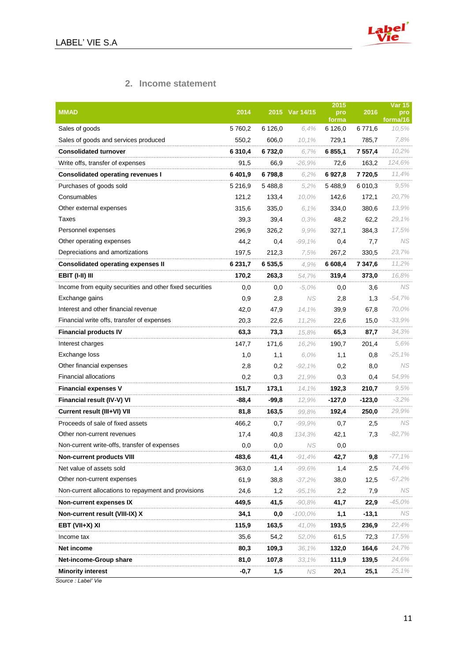

## **2. Income statement**

| <b>MMAD</b>                                              | 2014    |         | 2015 Var 14/15 | 2015<br>pro      | 2016        | <b>Var 15</b><br>pro |
|----------------------------------------------------------|---------|---------|----------------|------------------|-------------|----------------------|
| Sales of goods                                           | 5760,2  | 6 126,0 | 6.4%           | forma<br>6 126,0 | 6771,6      | forma/16<br>10,5%    |
| Sales of goods and services produced                     | 550,2   | 606,0   | 10,1%          | 729,1            | 785,7       | 7,8%                 |
| <b>Consolidated turnover</b>                             | 6 310,4 | 6 732,0 | 6.7%           | 6 855,1          | 7 557,4     | 10,2%                |
| Write offs, transfer of expenses                         | 91,5    | 66,9    | $-26.9%$       | 72,6             | 163,2       | 124,6%               |
| <b>Consolidated operating revenues I</b>                 | 6401,9  | 6798,8  | 6.2%           | 6927,8           | 7720,5      | 11,4%                |
| Purchases of goods sold                                  | 5 216,9 | 5 488,8 | 5.2%           | 5 4 8 8,9        | 6 0 1 0 , 3 | 9,5%                 |
| Consumables                                              | 121,2   | 133,4   | 10,0%          | 142,6            | 172,1       | 20,7%                |
| Other external expenses                                  | 315,6   | 335,0   | 6,1%           | 334,0            | 380,6       | 13,9%                |
| Taxes                                                    | 39,3    | 39,4    | 0.3%           | 48,2             | 62,2        | 29,1%                |
| Personnel expenses                                       | 296,9   | 326,2   | 9.9%           | 327,1            | 384,3       | 17,5%                |
| Other operating expenses                                 | 44,2    | 0,4     | $-99,1%$       | 0,4              | 7,7         | NS.                  |
| Depreciations and amortizations                          | 197,5   | 212,3   | 7,5%           | 267,2            | 330,5       | 23,7%                |
| <b>Consolidated operating expenses II</b>                | 6 231,7 | 6535.5  | 4.9%           | 6 608,4          | 7 347,6     | 11,2%                |
| <b>EBIT (I-II) III</b>                                   | 170,2   | 263,3   | 54,7%          | 319,4            | 373,0       | 16,8%                |
| Income from equity securities and other fixed securities | 0,0     | 0,0     | $-5.0\%$       | 0,0              | 3,6         | NS.                  |
| Exchange gains                                           | 0,9     | 2,8     | NS             | 2,8              | 1,3         | $-54,7%$             |
| Interest and other financial revenue                     | 42,0    | 47,9    | 14,1%          | 39,9             | 67,8        | 70,0%                |
| Financial write offs, transfer of expenses               | 20,3    | 22,6    | 11,2%          | 22,6             | 15,0        | $-33,9%$             |
| <b>Financial products IV</b>                             | 63,3    | 73,3    | 15,8%          | 65,3             | 87,7        | 34,3%                |
| Interest charges                                         | 147,7   | 171,6   | 16,2%          | 190,7            | 201,4       | 5,6%                 |
| Exchange loss                                            | 1,0     | 1,1     | 6,0%           | 1,1              | 0,8         | $-25,1%$             |
| Other financial expenses                                 | 2,8     | 0,2     | $-92,1%$       | 0,2              | 8,0         | NS                   |
| <b>Financial allocations</b>                             | 0,2     | 0,3     | 21,9%          | 0,3              | 0,4         | 54,9%                |
| <b>Financial expenses V</b>                              | 151,7   | 173,1   | 14,1%          | 192,3            | 210,7       | 9,5%                 |
| Financial result (IV-V) VI                               | $-88,4$ | $-99,8$ | 12.9%          | -127,0           | $-123,0$    | $-3,2%$              |
| Current result (III+VI) VII                              | 81,8    | 163,5   | 99,8%          | 192,4            | 250,0       | 29,9%                |
| Proceeds of sale of fixed assets                         | 466,2   | 0,7     | $-99,9%$       | 0,7              | 2,5         | NS                   |
| Other non-current revenues                               | 17,4    | 40,8    | 134,3%         | 42,1             | 7,3         | $-82,7%$             |
| Non-current write-offs, transfer of expenses             | 0,0     | 0,0     | NS             | 0,0              |             |                      |
| <b>Non-current products VIII</b>                         | 483,6   | 41,4    | $-91,4%$       | 42,7             | 9,8         | $-77,1%$             |
| Net value of assets sold                                 | 363,0   | 1,4     | $-99,6%$       | 1,4              | 2,5         | 74,4%                |
| Other non-current expenses                               | 61,9    | 38,8    | $-37,2%$       | 38,0             | 12,5        | $-67,2%$             |
| Non-current allocations to repayment and provisions      | 24,6    | 1,2     | $-95,1%$       | 2,2              | 7,9         | NS.                  |
| <b>Non-current expenses IX</b>                           | 449,5   | 41,5    | $-90,8%$       | 41,7             | 22,9        | $-45,0%$             |
| Non-current result (VIII-IX) X                           | 34,1    | 0,0     | -100,0%        | 1,1              | $-13,1$     | NS                   |
| EBT (VII+X) XI                                           | 115,9   | 163,5   | 41,0%          | 193,5            | 236,9       | 22,4%                |
| Income tax                                               | 35,6    | 54,2    | 52,0%          | 61,5             | 72,3        | 17,5%                |
| Net income                                               | 80,3    | 109,3   | 36,1%          | 132,0            | 164,6       | 24,7%                |
| Net-income-Group share                                   | 81,0    | 107,8   | 33,1%          | 111,9            | 139,5       | 24,6%                |
| <b>Minority interest</b>                                 | $-0,7$  | 1,5     | NS.            | 20,1             | 25,1        | 25,1%                |

*Source : Label' Vie*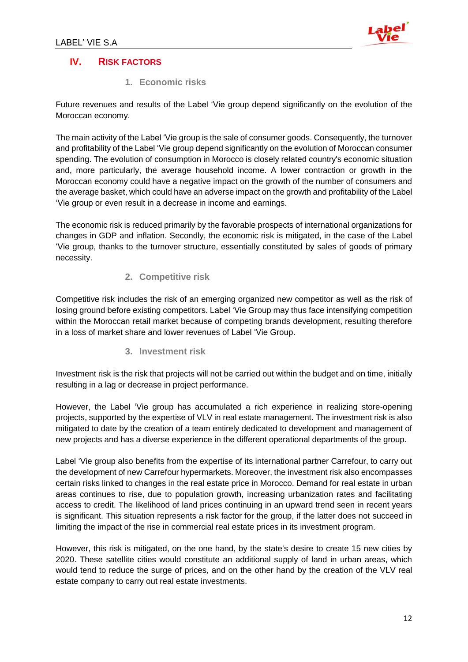

## **IV. RISK FACTORS**

**1. Economic risks** 

Future revenues and results of the Label 'Vie group depend significantly on the evolution of the Moroccan economy.

The main activity of the Label 'Vie group is the sale of consumer goods. Consequently, the turnover and profitability of the Label 'Vie group depend significantly on the evolution of Moroccan consumer spending. The evolution of consumption in Morocco is closely related country's economic situation and, more particularly, the average household income. A lower contraction or growth in the Moroccan economy could have a negative impact on the growth of the number of consumers and the average basket, which could have an adverse impact on the growth and profitability of the Label 'Vie group or even result in a decrease in income and earnings.

The economic risk is reduced primarily by the favorable prospects of international organizations for changes in GDP and inflation. Secondly, the economic risk is mitigated, in the case of the Label 'Vie group, thanks to the turnover structure, essentially constituted by sales of goods of primary necessity.

#### **2. Competitive risk**

Competitive risk includes the risk of an emerging organized new competitor as well as the risk of losing ground before existing competitors. Label 'Vie Group may thus face intensifying competition within the Moroccan retail market because of competing brands development, resulting therefore in a loss of market share and lower revenues of Label 'Vie Group.

#### **3. Investment risk**

Investment risk is the risk that projects will not be carried out within the budget and on time, initially resulting in a lag or decrease in project performance.

However, the Label 'Vie group has accumulated a rich experience in realizing store-opening projects, supported by the expertise of VLV in real estate management. The investment risk is also mitigated to date by the creation of a team entirely dedicated to development and management of new projects and has a diverse experience in the different operational departments of the group.

Label 'Vie group also benefits from the expertise of its international partner Carrefour, to carry out the development of new Carrefour hypermarkets. Moreover, the investment risk also encompasses certain risks linked to changes in the real estate price in Morocco. Demand for real estate in urban areas continues to rise, due to population growth, increasing urbanization rates and facilitating access to credit. The likelihood of land prices continuing in an upward trend seen in recent years is significant. This situation represents a risk factor for the group, if the latter does not succeed in limiting the impact of the rise in commercial real estate prices in its investment program.

However, this risk is mitigated, on the one hand, by the state's desire to create 15 new cities by 2020. These satellite cities would constitute an additional supply of land in urban areas, which would tend to reduce the surge of prices, and on the other hand by the creation of the VLV real estate company to carry out real estate investments.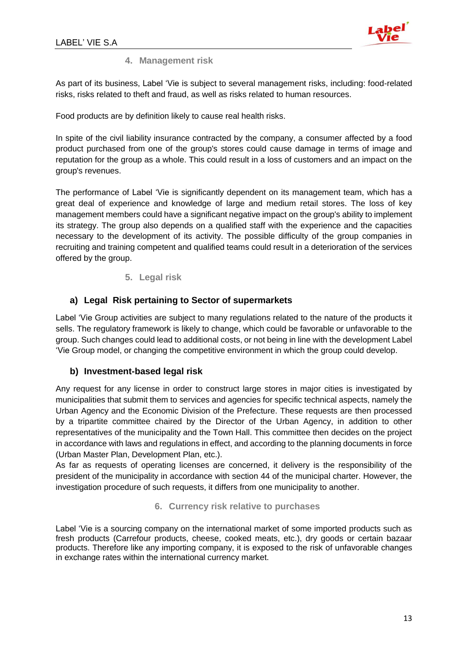

#### **4. Management risk**

As part of its business, Label 'Vie is subject to several management risks, including: food-related risks, risks related to theft and fraud, as well as risks related to human resources.

Food products are by definition likely to cause real health risks.

In spite of the civil liability insurance contracted by the company, a consumer affected by a food product purchased from one of the group's stores could cause damage in terms of image and reputation for the group as a whole. This could result in a loss of customers and an impact on the group's revenues.

The performance of Label 'Vie is significantly dependent on its management team, which has a great deal of experience and knowledge of large and medium retail stores. The loss of key management members could have a significant negative impact on the group's ability to implement its strategy. The group also depends on a qualified staff with the experience and the capacities necessary to the development of its activity. The possible difficulty of the group companies in recruiting and training competent and qualified teams could result in a deterioration of the services offered by the group.

#### **5. Legal risk**

#### **a) Legal Risk pertaining to Sector of supermarkets**

Label 'Vie Group activities are subject to many regulations related to the nature of the products it sells. The regulatory framework is likely to change, which could be favorable or unfavorable to the group. Such changes could lead to additional costs, or not being in line with the development Label 'Vie Group model, or changing the competitive environment in which the group could develop.

#### **b) Investment-based legal risk**

Any request for any license in order to construct large stores in major cities is investigated by municipalities that submit them to services and agencies for specific technical aspects, namely the Urban Agency and the Economic Division of the Prefecture. These requests are then processed by a tripartite committee chaired by the Director of the Urban Agency, in addition to other representatives of the municipality and the Town Hall. This committee then decides on the project in accordance with laws and regulations in effect, and according to the planning documents in force (Urban Master Plan, Development Plan, etc.).

As far as requests of operating licenses are concerned, it delivery is the responsibility of the president of the municipality in accordance with section 44 of the municipal charter. However, the investigation procedure of such requests, it differs from one municipality to another.

#### **6. Currency risk relative to purchases**

Label 'Vie is a sourcing company on the international market of some imported products such as fresh products (Carrefour products, cheese, cooked meats, etc.), dry goods or certain bazaar products. Therefore like any importing company, it is exposed to the risk of unfavorable changes in exchange rates within the international currency market.